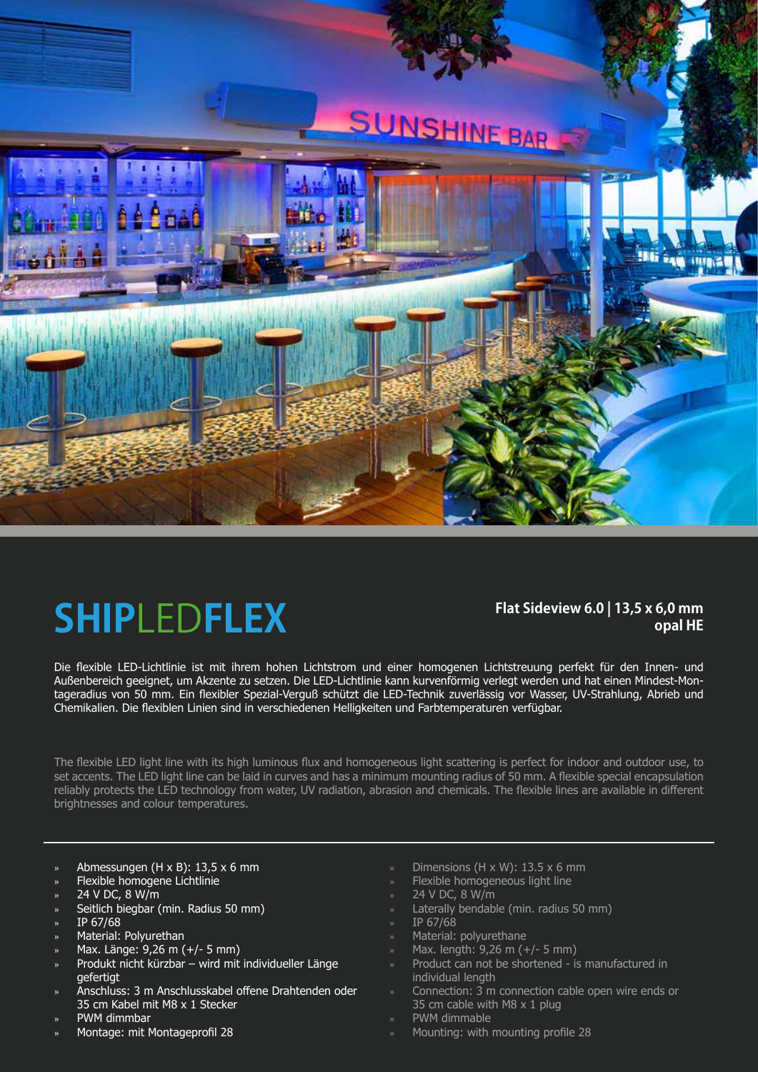# **SUNSHINE BAR**



### **SHIP**LED**FLEX**

### **Flat Sideview 6.0 | 13,5 x 6,0 mm opal HE**

Die flexible LED-Lichtlinie ist mit ihrem hohen Lichtstrom und einer homogenen Lichtstreuung perfekt für den Innen- und Außenbereich geeignet, um Akzente zu setzen. Die LED-Lichtlinie kann kurvenförmig verlegt werden und hat einen Mindest-Montageradius von 50 mm. Ein flexibler Spezial-Verguß schützt die LED-Technik zuverlässig vor Wasser, UV-Strahlung, Abrieb und Chemikalien. Die flexiblen Linien sind in verschiedenen Helligkeiten und Farbtemperaturen verfügbar.

The flexible LED light line with its high luminous flux and homogeneous light scattering is perfect for indoor and outdoor use, to set accents. The LED light line can be laid in curves and has a minimum mounting radius of 50 mm. A flexible special encapsulation reliably protects the LED technology from water, UV radiation, abrasion and chemicals. The flexible lines are available in different brightnesses and colour temperatures.

- » Abmessungen (H x B): 13,5 x 6 mm
- » Flexible homogene Lichtlinie
- » 24 V DC, 8 W/m
- » Seitlich biegbar (min. Radius 50 mm)
- » IP 67/68
- » Material: Polyurethan
- » Max. Länge: 9,26 m (+/- 5 mm)
- » Produkt nicht kürzbar wird mit individueller Länge gefertigt
- » Anschluss: 3 m Anschlusskabel offene Drahtenden oder 35 cm Kabel mit M8 x 1 Stecker
- » PWM dimmbar
- » Montage: mit Montageprofil 28
- Dimensions (H  $\times$  W): 13.5  $\times$  6 mm
- Flexible homogeneous light line
- » 24 V DC, 8 W/m
- Laterally bendable (min. radius 50 mm)
- » IP 67/68
- » Material: polyurethane
- » Max. length: 9,26 m (+/- 5 mm)
- » Product can not be shortened is manufactured in individual length
- » Connection: 3 m connection cable open wire ends or 35 cm cable with M8 x 1 plug
- » PWM dimmable
- » Mounting: with mounting profile 28